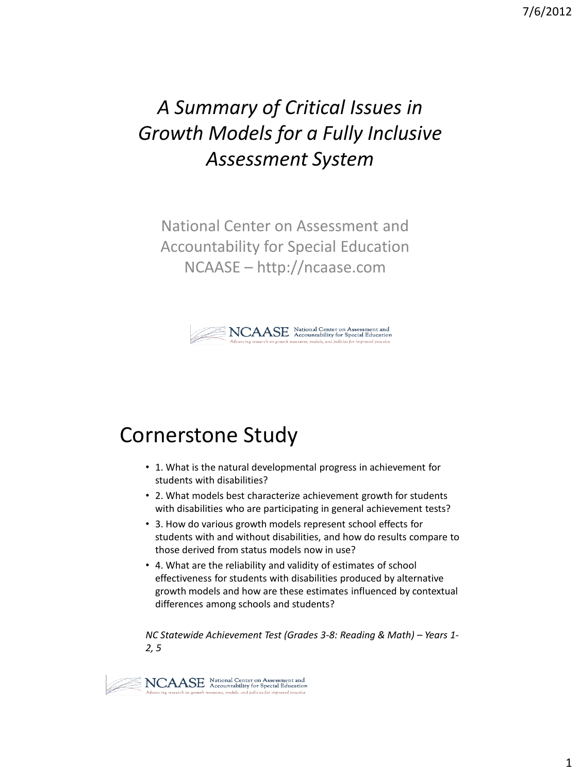# *A Summary of Critical Issues in Growth Models for a Fully Inclusive Assessment System*

National Center on Assessment and Accountability for Special Education NCAASE – http://ncaase.com



## Cornerstone Study

- 1. What is the natural developmental progress in achievement for students with disabilities?
- 2. What models best characterize achievement growth for students with disabilities who are participating in general achievement tests?
- 3. How do various growth models represent school effects for students with and without disabilities, and how do results compare to those derived from status models now in use?
- 4. What are the reliability and validity of estimates of school effectiveness for students with disabilities produced by alternative growth models and how are these estimates influenced by contextual differences among schools and students?

*NC Statewide Achievement Test (Grades 3-8: Reading & Math) – Years 1- 2, 5*

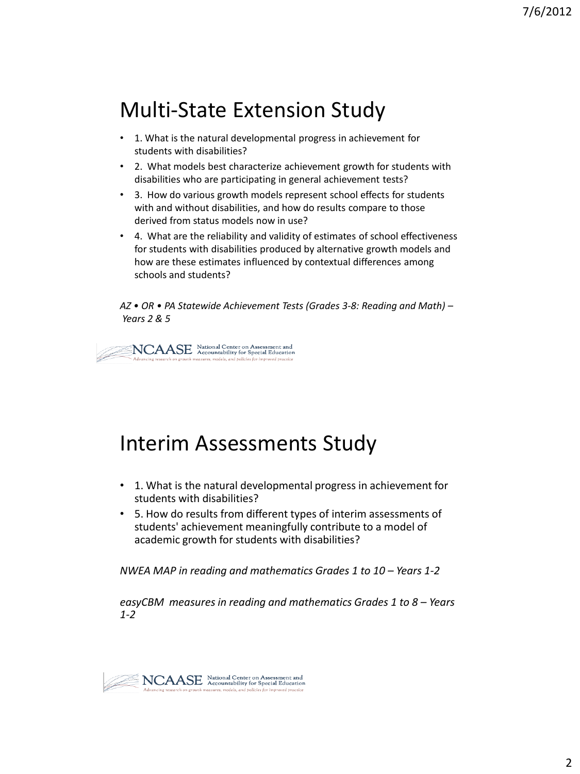# Multi-State Extension Study

- 1. What is the natural developmental progress in achievement for students with disabilities?
- 2. What models best characterize achievement growth for students with disabilities who are participating in general achievement tests?
- 3. How do various growth models represent school effects for students with and without disabilities, and how do results compare to those derived from status models now in use?
- 4. What are the reliability and validity of estimates of school effectiveness for students with disabilities produced by alternative growth models and how are these estimates influenced by contextual differences among schools and students?

*AZ • OR • PA Statewide Achievement Tests (Grades 3-8: Reading and Math) – Years 2 & 5*

 $\sum_{i=1}^{n} \sum_{\mathcal{M}} \sum_{\mathcal{M}} \sum_{\mathcal{M}} \sum_{\mathcal{M}} \sum_{\mathcal{M}} \sum_{\mathcal{M} \text{ covariant} } \mathcal{M}$  accountability for Special Education  $\mathcal{M}$ 

#### Interim Assessments Study

- 1. What is the natural developmental progress in achievement for students with disabilities?
- 5. How do results from different types of interim assessments of students' achievement meaningfully contribute to a model of academic growth for students with disabilities?

*NWEA MAP in reading and mathematics Grades 1 to 10 – Years 1-2*

*easyCBM measures in reading and mathematics Grades 1 to 8 – Years 1-2*